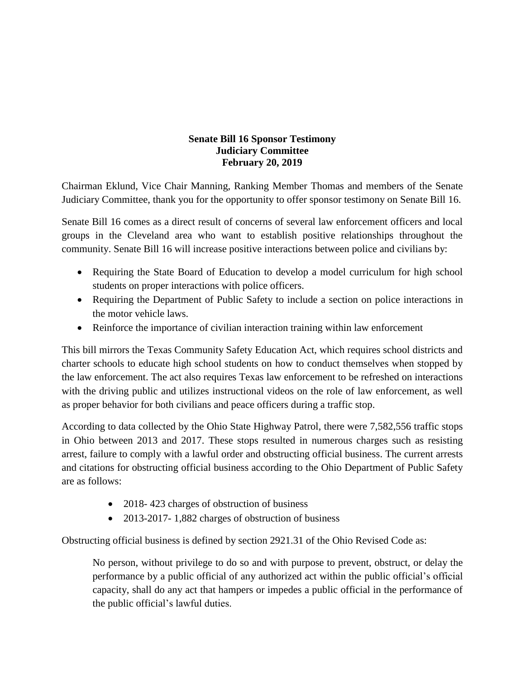## **Senate Bill 16 Sponsor Testimony Judiciary Committee February 20, 2019**

Chairman Eklund, Vice Chair Manning, Ranking Member Thomas and members of the Senate Judiciary Committee, thank you for the opportunity to offer sponsor testimony on Senate Bill 16.

Senate Bill 16 comes as a direct result of concerns of several law enforcement officers and local groups in the Cleveland area who want to establish positive relationships throughout the community. Senate Bill 16 will increase positive interactions between police and civilians by:

- Requiring the State Board of Education to develop a model curriculum for high school students on proper interactions with police officers.
- Requiring the Department of Public Safety to include a section on police interactions in the motor vehicle laws.
- Reinforce the importance of civilian interaction training within law enforcement

This bill mirrors the Texas Community Safety Education Act, which requires school districts and charter schools to educate high school students on how to conduct themselves when stopped by the law enforcement. The act also requires Texas law enforcement to be refreshed on interactions with the driving public and utilizes instructional videos on the role of law enforcement, as well as proper behavior for both civilians and peace officers during a traffic stop.

According to data collected by the Ohio State Highway Patrol, there were 7,582,556 traffic stops in Ohio between 2013 and 2017. These stops resulted in numerous charges such as resisting arrest, failure to comply with a lawful order and obstructing official business. The current arrests and citations for obstructing official business according to the Ohio Department of Public Safety are as follows:

- 2018-423 charges of obstruction of business
- 2013-2017- 1,882 charges of obstruction of business

Obstructing official business is defined by section 2921.31 of the Ohio Revised Code as:

No person, without privilege to do so and with purpose to prevent, obstruct, or delay the performance by a public official of any authorized act within the public official's official capacity, shall do any act that hampers or impedes a public official in the performance of the public official's lawful duties.